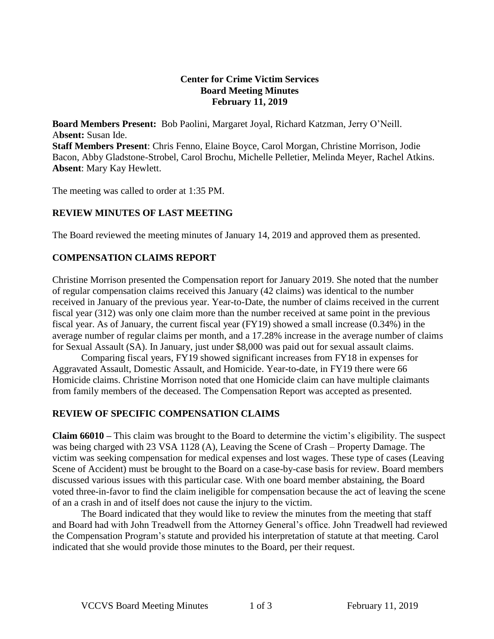#### **Center for Crime Victim Services Board Meeting Minutes February 11, 2019**

**Board Members Present:** Bob Paolini, Margaret Joyal, Richard Katzman, Jerry O'Neill. A**bsent:** Susan Ide.

**Staff Members Present**: Chris Fenno, Elaine Boyce, Carol Morgan, Christine Morrison, Jodie Bacon, Abby Gladstone-Strobel, Carol Brochu, Michelle Pelletier, Melinda Meyer, Rachel Atkins. **Absent**: Mary Kay Hewlett.

The meeting was called to order at 1:35 PM.

## **REVIEW MINUTES OF LAST MEETING**

The Board reviewed the meeting minutes of January 14, 2019 and approved them as presented.

## **COMPENSATION CLAIMS REPORT**

Christine Morrison presented the Compensation report for January 2019. She noted that the number of regular compensation claims received this January (42 claims) was identical to the number received in January of the previous year. Year-to-Date, the number of claims received in the current fiscal year (312) was only one claim more than the number received at same point in the previous fiscal year. As of January, the current fiscal year (FY19) showed a small increase (0.34%) in the average number of regular claims per month, and a 17.28% increase in the average number of claims for Sexual Assault (SA). In January, just under \$8,000 was paid out for sexual assault claims.

Comparing fiscal years, FY19 showed significant increases from FY18 in expenses for Aggravated Assault, Domestic Assault, and Homicide. Year-to-date, in FY19 there were 66 Homicide claims. Christine Morrison noted that one Homicide claim can have multiple claimants from family members of the deceased. The Compensation Report was accepted as presented.

#### **REVIEW OF SPECIFIC COMPENSATION CLAIMS**

**Claim 66010 –** This claim was brought to the Board to determine the victim's eligibility. The suspect was being charged with 23 VSA 1128 (A), Leaving the Scene of Crash – Property Damage. The victim was seeking compensation for medical expenses and lost wages. These type of cases (Leaving Scene of Accident) must be brought to the Board on a case-by-case basis for review. Board members discussed various issues with this particular case. With one board member abstaining, the Board voted three-in-favor to find the claim ineligible for compensation because the act of leaving the scene of an a crash in and of itself does not cause the injury to the victim.

The Board indicated that they would like to review the minutes from the meeting that staff and Board had with John Treadwell from the Attorney General's office. John Treadwell had reviewed the Compensation Program's statute and provided his interpretation of statute at that meeting. Carol indicated that she would provide those minutes to the Board, per their request.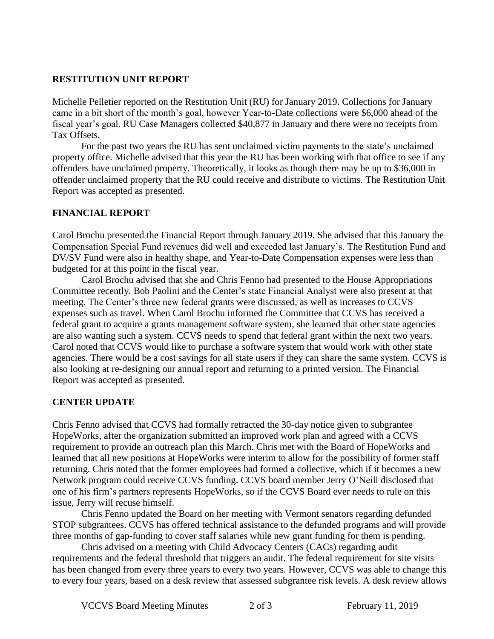## **RESTITUTION UNIT REPORT**

Michelle Pelletier reported on the Restitution Unit (RU) for January 2019. Collections for January came in a bit short of the month's goal, however Year-to-Date collections were \$6,000 ahead of the fiscal year's goal. RU Case Managers collected \$40,877 in January and there were no receipts from Tax Offsets.

For the past two years the RU has sent unclaimed victim payments to the state's unclaimed property office. Michelle advised that this year the RU has been working with that office to see if any offenders have unclaimed property. Theoretically, it looks as though there may be up to \$36,000 in offender unclaimed property that the RU could receive and distribute to victims. The Restitution Unit Report was accepted as presented.

## **FINANCIAL REPORT**

Carol Brochu presented the Financial Report through January 2019. She advised that this January the Compensation Special Fund revenues did well and exceeded last January's. The Restitution Fund and DV/SV Fund were also in healthy shape, and Year-to-Date Compensation expenses were less than budgeted for at this point in the fiscal year.

Carol Brochu advised that she and Chris Fenno had presented to the House Appropriations Committee recently. Bob Paolini and the Center's state Financial Analyst were also present at that meeting. The Center's three new federal grants were discussed, as well as increases to CCVS expenses such as travel. When Carol Brochu informed the Committee that CCVS has received a federal grant to acquire a grants management software system, she learned that other state agencies are also wanting such a system. CCVS needs to spend that federal grant within the next two years. Carol noted that CCVS would like to purchase a software system that would work with other state agencies. There would be a cost savings for all state users if they can share the same system. CCVS is also looking at re-designing our annual report and returning to a printed version. The Financial Report was accepted as presented.

#### **CENTER UPDATE**

Chris Fenno advised that CCVS had formally retracted the 30-day notice given to subgrantee HopeWorks, after the organization submitted an improved work plan and agreed with a CCVS requirement to provide an outreach plan this March. Chris met with the Board of HopeWorks and learned that all new positions at HopeWorks were interim to allow for the possibility of former staff returning. Chris noted that the former employees had formed a collective, which if it becomes a new Network program could receive CCVS funding. CCVS board member Jerry O'Neill disclosed that one of his firm's partners represents HopeWorks, so if the CCVS Board ever needs to rule on this issue, Jerry will recuse himself.

Chris Fenno updated the Board on her meeting with Vermont senators regarding defunded STOP subgrantees. CCVS has offered technical assistance to the defunded programs and will provide three months of gap-funding to cover staff salaries while new grant funding for them is pending.

Chris advised on a meeting with Child Advocacy Centers (CACs) regarding audit requirements and the federal threshold that triggers an audit. The federal requirement for site visits has been changed from every three years to every two years. However, CCVS was able to change this to every four years, based on a desk review that assessed subgrantee risk levels. A desk review allows